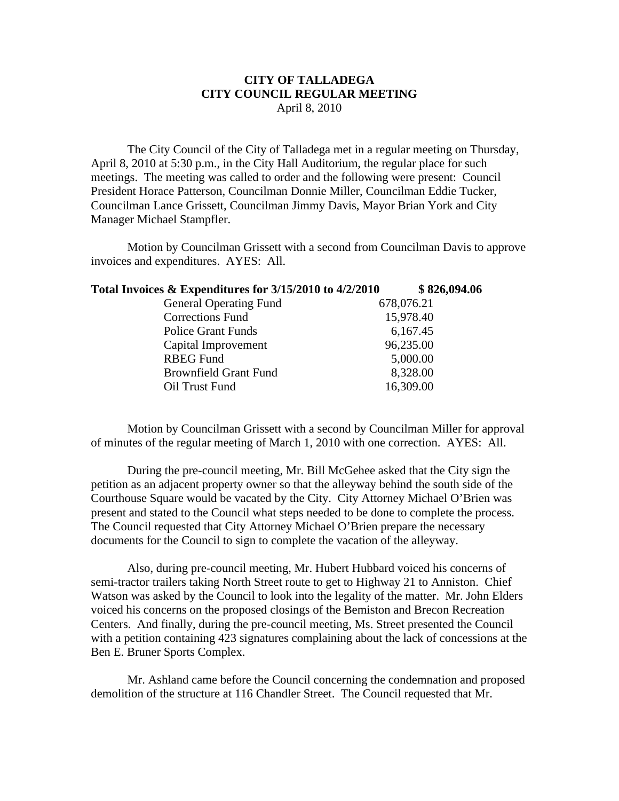## **CITY OF TALLADEGA CITY COUNCIL REGULAR MEETING** April 8, 2010

The City Council of the City of Talladega met in a regular meeting on Thursday, April 8, 2010 at 5:30 p.m., in the City Hall Auditorium, the regular place for such meetings. The meeting was called to order and the following were present: Council President Horace Patterson, Councilman Donnie Miller, Councilman Eddie Tucker, Councilman Lance Grissett, Councilman Jimmy Davis, Mayor Brian York and City Manager Michael Stampfler.

Motion by Councilman Grissett with a second from Councilman Davis to approve invoices and expenditures. AYES: All.

| Total Invoices & Expenditures for 3/15/2010 to 4/2/2010 | \$826,094.06 |
|---------------------------------------------------------|--------------|
| <b>General Operating Fund</b>                           | 678,076.21   |
| <b>Corrections Fund</b>                                 | 15,978.40    |
| Police Grant Funds                                      | 6,167.45     |
| Capital Improvement                                     | 96,235.00    |
| <b>RBEG Fund</b>                                        | 5,000.00     |
| <b>Brownfield Grant Fund</b>                            | 8,328.00     |
| Oil Trust Fund                                          | 16,309.00    |

Motion by Councilman Grissett with a second by Councilman Miller for approval of minutes of the regular meeting of March 1, 2010 with one correction. AYES: All.

During the pre-council meeting, Mr. Bill McGehee asked that the City sign the petition as an adjacent property owner so that the alleyway behind the south side of the Courthouse Square would be vacated by the City. City Attorney Michael O'Brien was present and stated to the Council what steps needed to be done to complete the process. The Council requested that City Attorney Michael O'Brien prepare the necessary documents for the Council to sign to complete the vacation of the alleyway.

Also, during pre-council meeting, Mr. Hubert Hubbard voiced his concerns of semi-tractor trailers taking North Street route to get to Highway 21 to Anniston. Chief Watson was asked by the Council to look into the legality of the matter. Mr. John Elders voiced his concerns on the proposed closings of the Bemiston and Brecon Recreation Centers. And finally, during the pre-council meeting, Ms. Street presented the Council with a petition containing 423 signatures complaining about the lack of concessions at the Ben E. Bruner Sports Complex.

Mr. Ashland came before the Council concerning the condemnation and proposed demolition of the structure at 116 Chandler Street. The Council requested that Mr.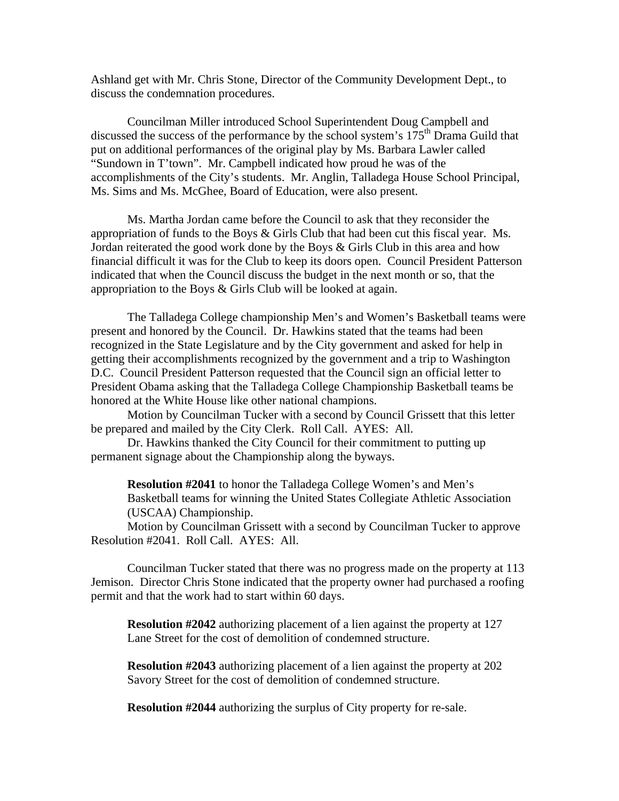Ashland get with Mr. Chris Stone, Director of the Community Development Dept., to discuss the condemnation procedures.

Councilman Miller introduced School Superintendent Doug Campbell and discussed the success of the performance by the school system's  $175<sup>th</sup>$  Drama Guild that put on additional performances of the original play by Ms. Barbara Lawler called "Sundown in T'town". Mr. Campbell indicated how proud he was of the accomplishments of the City's students. Mr. Anglin, Talladega House School Principal, Ms. Sims and Ms. McGhee, Board of Education, were also present.

Ms. Martha Jordan came before the Council to ask that they reconsider the appropriation of funds to the Boys & Girls Club that had been cut this fiscal year. Ms. Jordan reiterated the good work done by the Boys & Girls Club in this area and how financial difficult it was for the Club to keep its doors open. Council President Patterson indicated that when the Council discuss the budget in the next month or so, that the appropriation to the Boys & Girls Club will be looked at again.

The Talladega College championship Men's and Women's Basketball teams were present and honored by the Council. Dr. Hawkins stated that the teams had been recognized in the State Legislature and by the City government and asked for help in getting their accomplishments recognized by the government and a trip to Washington D.C. Council President Patterson requested that the Council sign an official letter to President Obama asking that the Talladega College Championship Basketball teams be honored at the White House like other national champions.

Motion by Councilman Tucker with a second by Council Grissett that this letter be prepared and mailed by the City Clerk. Roll Call. AYES: All.

Dr. Hawkins thanked the City Council for their commitment to putting up permanent signage about the Championship along the byways.

**Resolution #2041** to honor the Talladega College Women's and Men's Basketball teams for winning the United States Collegiate Athletic Association (USCAA) Championship.

Motion by Councilman Grissett with a second by Councilman Tucker to approve Resolution #2041. Roll Call. AYES: All.

Councilman Tucker stated that there was no progress made on the property at 113 Jemison. Director Chris Stone indicated that the property owner had purchased a roofing permit and that the work had to start within 60 days.

**Resolution #2042** authorizing placement of a lien against the property at 127 Lane Street for the cost of demolition of condemned structure.

**Resolution #2043** authorizing placement of a lien against the property at 202 Savory Street for the cost of demolition of condemned structure.

**Resolution #2044** authorizing the surplus of City property for re-sale.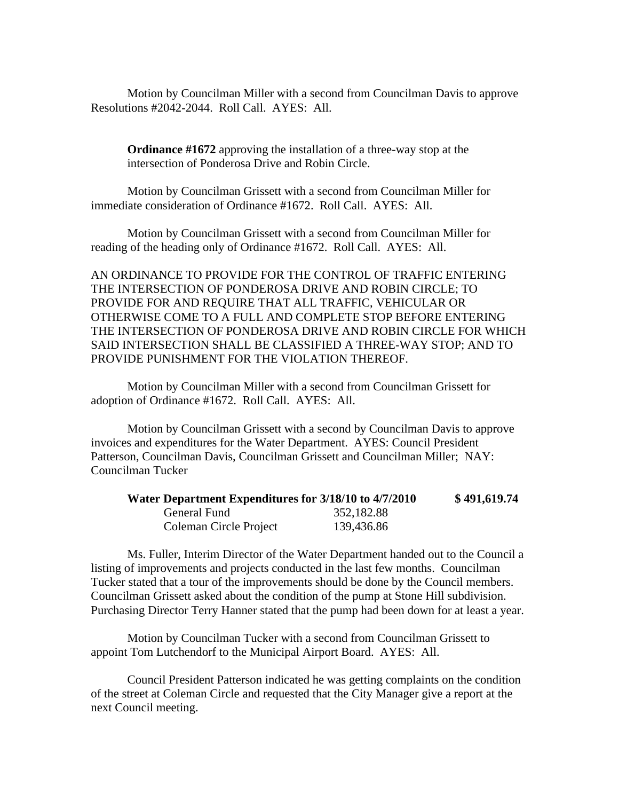Motion by Councilman Miller with a second from Councilman Davis to approve Resolutions #2042-2044. Roll Call. AYES: All.

**Ordinance #1672** approving the installation of a three-way stop at the intersection of Ponderosa Drive and Robin Circle.

Motion by Councilman Grissett with a second from Councilman Miller for immediate consideration of Ordinance #1672. Roll Call. AYES: All.

Motion by Councilman Grissett with a second from Councilman Miller for reading of the heading only of Ordinance #1672. Roll Call. AYES: All.

AN ORDINANCE TO PROVIDE FOR THE CONTROL OF TRAFFIC ENTERING THE INTERSECTION OF PONDEROSA DRIVE AND ROBIN CIRCLE; TO PROVIDE FOR AND REQUIRE THAT ALL TRAFFIC, VEHICULAR OR OTHERWISE COME TO A FULL AND COMPLETE STOP BEFORE ENTERING THE INTERSECTION OF PONDEROSA DRIVE AND ROBIN CIRCLE FOR WHICH SAID INTERSECTION SHALL BE CLASSIFIED A THREE-WAY STOP; AND TO PROVIDE PUNISHMENT FOR THE VIOLATION THEREOF.

Motion by Councilman Miller with a second from Councilman Grissett for adoption of Ordinance #1672. Roll Call. AYES: All.

Motion by Councilman Grissett with a second by Councilman Davis to approve invoices and expenditures for the Water Department. AYES: Council President Patterson, Councilman Davis, Councilman Grissett and Councilman Miller; NAY: Councilman Tucker

| Water Department Expenditures for 3/18/10 to 4/7/2010 |            | \$491,619.74 |
|-------------------------------------------------------|------------|--------------|
| General Fund                                          | 352,182.88 |              |
| Coleman Circle Project                                | 139,436.86 |              |

Ms. Fuller, Interim Director of the Water Department handed out to the Council a listing of improvements and projects conducted in the last few months. Councilman Tucker stated that a tour of the improvements should be done by the Council members. Councilman Grissett asked about the condition of the pump at Stone Hill subdivision. Purchasing Director Terry Hanner stated that the pump had been down for at least a year.

Motion by Councilman Tucker with a second from Councilman Grissett to appoint Tom Lutchendorf to the Municipal Airport Board. AYES: All.

Council President Patterson indicated he was getting complaints on the condition of the street at Coleman Circle and requested that the City Manager give a report at the next Council meeting.